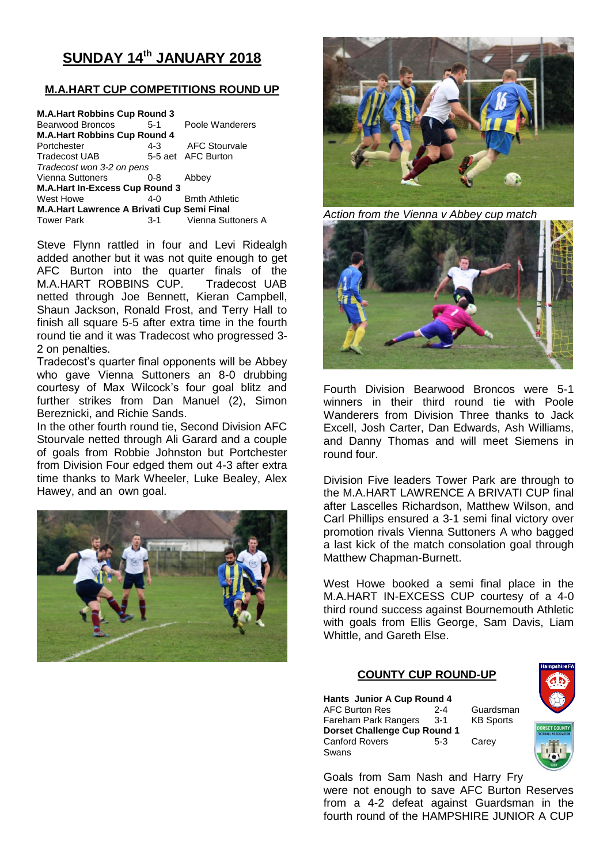# **SUNDAY 14th JANUARY 2018**

# **M.A.HART CUP COMPETITIONS ROUND UP**

| <b>M.A.Hart Robbins Cup Round 3</b>        |         |                      |  |  |  |  |  |
|--------------------------------------------|---------|----------------------|--|--|--|--|--|
| <b>Bearwood Broncos</b>                    | $5-1$   | Poole Wanderers      |  |  |  |  |  |
| <b>M.A.Hart Robbins Cup Round 4</b>        |         |                      |  |  |  |  |  |
| Portchester                                | $4 - 3$ | <b>AFC Stourvale</b> |  |  |  |  |  |
| Tradecost UAB                              |         | 5-5 aet AFC Burton   |  |  |  |  |  |
| Tradecost won 3-2 on pens                  |         |                      |  |  |  |  |  |
| Vienna Suttoners                           | $0 - 8$ | Abbey                |  |  |  |  |  |
| <b>M.A.Hart In-Excess Cup Round 3</b>      |         |                      |  |  |  |  |  |
| West Howe                                  | $4-0$   | <b>Bmth Athletic</b> |  |  |  |  |  |
| M.A.Hart Lawrence A Brivati Cup Semi Final |         |                      |  |  |  |  |  |
| <b>Tower Park</b>                          | $3-1$   | Vienna Suttoners A   |  |  |  |  |  |

Steve Flynn rattled in four and Levi Ridealgh added another but it was not quite enough to get AFC Burton into the quarter finals of the M.A.HART ROBBINS CUP. Tradecost UAB netted through Joe Bennett, Kieran Campbell, Shaun Jackson, Ronald Frost, and Terry Hall to finish all square 5-5 after extra time in the fourth round tie and it was Tradecost who progressed 3- 2 on penalties.

Tradecost's quarter final opponents will be Abbey who gave Vienna Suttoners an 8-0 drubbing courtesy of Max Wilcock's four goal blitz and further strikes from Dan Manuel (2), Simon Bereznicki, and Richie Sands.

In the other fourth round tie, Second Division AFC Stourvale netted through Ali Garard and a couple of goals from Robbie Johnston but Portchester from Division Four edged them out 4-3 after extra time thanks to Mark Wheeler, Luke Bealey, Alex Hawey, and an own goal.





*Action from the Vienna v Abbey cup match*



Fourth Division Bearwood Broncos were 5-1 winners in their third round tie with Poole Wanderers from Division Three thanks to Jack Excell, Josh Carter, Dan Edwards, Ash Williams, and Danny Thomas and will meet Siemens in round four.

Division Five leaders Tower Park are through to the M.A.HART LAWRENCE A BRIVATI CUP final after Lascelles Richardson, Matthew Wilson, and Carl Phillips ensured a 3-1 semi final victory over promotion rivals Vienna Suttoners A who bagged a last kick of the match consolation goal through Matthew Chapman-Burnett.

West Howe booked a semi final place in the M.A.HART IN-EXCESS CUP courtesy of a 4-0 third round success against Bournemouth Athletic with goals from Ellis George, Sam Davis, Liam Whittle, and Gareth Else.

## **COUNTY CUP ROUND-UP**

**Hants Junior A Cup Round 4** AFC Burton Res 2-4 Guardsman Fareham Park Rangers 3-1 KB Sports **Dorset Challenge Cup Round 1** Canford Rovers 5-3 Carey Swans



Goals from Sam Nash and Harry Fry were not enough to save AFC Burton Reserves from a 4-2 defeat against Guardsman in the fourth round of the HAMPSHIRE JUNIOR A CUP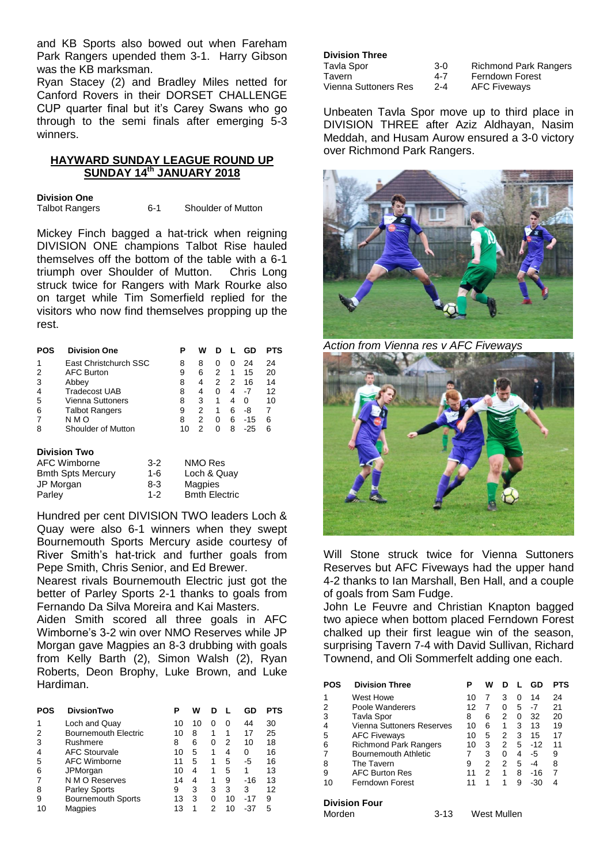and KB Sports also bowed out when Fareham Park Rangers upended them 3-1. Harry Gibson was the KB marksman.

Ryan Stacey (2) and Bradley Miles netted for Canford Rovers in their DORSET CHALLENGE CUP quarter final but it's Carey Swans who go through to the semi finals after emerging 5-3 winners.

# **HAYWARD SUNDAY LEAGUE ROUND UP SUNDAY 14th JANUARY 2018**

**Division One**<br>Talbot Rangers 6-1 Shoulder of Mutton

Mickey Finch bagged a hat-trick when reigning DIVISION ONE champions Talbot Rise hauled themselves off the bottom of the table with a 6-1 triumph over Shoulder of Mutton. Chris Long struck twice for Rangers with Mark Rourke also on target while Tim Somerfield replied for the visitors who now find themselves propping up the rest.

| POS | <b>Division One</b>     | Р  | w |              |              | GD    | PTS |
|-----|-------------------------|----|---|--------------|--------------|-------|-----|
| 1   | East Christchurch SSC   | 8  | 8 | $\mathbf{0}$ | $\mathbf{0}$ | 24    | 24  |
|     | <b>AFC Burton</b>       | 9  | 6 | 2            | 1            | 15    | 20  |
| 3   | Abbey                   | 8  | 4 | 2            | 2            | 16    | 14  |
| 4   | <b>Tradecost UAB</b>    | 8  | 4 | O            |              | -7    | 12  |
| 5   | <b>Vienna Suttoners</b> | 8  | 3 |              | 4            | O     | 10  |
| 6   | <b>Talbot Rangers</b>   | 9  | 2 |              | 6            | -8    |     |
|     | N M O                   | 8  |   | O            | 6            | $-15$ | 6   |
| 8   | Shoulder of Mutton      | 10 |   |              | 8            | -25   | ิค  |

#### **Division Two**

| AFC Wimborne             | $3-2$   | NMO Res              |
|--------------------------|---------|----------------------|
| <b>Bmth Spts Mercury</b> | 1-6     | Loch & Quay          |
| JP Morgan                | 8-3     | Magpies              |
| Parley                   | $1 - 2$ | <b>Bmth Electric</b> |

Hundred per cent DIVISION TWO leaders Loch & Quay were also 6-1 winners when they swept Bournemouth Sports Mercury aside courtesy of River Smith's hat-trick and further goals from Pepe Smith, Chris Senior, and Ed Brewer.

Nearest rivals Bournemouth Electric just got the better of Parley Sports 2-1 thanks to goals from Fernando Da Silva Moreira and Kai Masters.

Aiden Smith scored all three goals in AFC Wimborne's 3-2 win over NMO Reserves while JP Morgan gave Magpies an 8-3 drubbing with goals from Kelly Barth (2), Simon Walsh (2), Ryan Roberts, Deon Brophy, Luke Brown, and Luke Hardiman.

| POS | <b>DivsionTwo</b>           | Р  | w  | D |    | GD    | PTS |
|-----|-----------------------------|----|----|---|----|-------|-----|
| 1   | Loch and Quay               | 10 | 10 | O | 0  | 44    | 30  |
| 2   | <b>Bournemouth Electric</b> | 10 | 8  | 1 | 1  | 17    | 25  |
| 3   | Rushmere                    | 8  | 6  | 0 | 2  | 10    | 18  |
| 4   | <b>AFC Stourvale</b>        | 10 | 5  | 1 | 4  | 0     | 16  |
| 5   | <b>AFC Wimborne</b>         | 11 | 5  | 1 | 5  | -5    | 16  |
| 6   | JPMorgan                    | 10 | 4  | 1 | 5  |       | 13  |
|     | N M O Reserves              | 14 | 4  | 1 | 9  | $-16$ | 13  |
| 8   | <b>Parley Sports</b>        | 9  | 3  | 3 | 3  | 3     | 12  |
| 9   | <b>Bournemouth Sports</b>   | 13 | 3  | 0 | 10 | $-17$ | 9   |
| 10  | Magpies                     | 13 |    | 2 | 10 | -37   | 5   |

### **Division Three**

| Tavla Spor           | $3-0$   |
|----------------------|---------|
| Tavern               | 4-7     |
| Vienna Suttoners Res | $2 - 4$ |

Richmond Park Rangers Ferndown Forest **AFC Fiveways** 

Unbeaten Tavla Spor move up to third place in DIVISION THREE after Aziz Aldhayan, Nasim Meddah, and Husam Aurow ensured a 3-0 victory over Richmond Park Rangers.



*Action from Vienna res v AFC Fiveways*



Will Stone struck twice for Vienna Suttoners Reserves but AFC Fiveways had the upper hand 4-2 thanks to Ian Marshall, Ben Hall, and a couple of goals from Sam Fudge.

John Le Feuvre and Christian Knapton bagged two apiece when bottom placed Ferndown Forest chalked up their first league win of the season, surprising Tavern 7-4 with David Sullivan, Richard Townend, and Oli Sommerfelt adding one each.

| POS | <b>Division Three</b>        |    | w |   |   | GD    | PTS |
|-----|------------------------------|----|---|---|---|-------|-----|
|     | West Howe                    | 10 |   | 3 | 0 | 14    | 24  |
|     | Poole Wanderers              | 12 |   | 0 | 5 | -7    | 21  |
| 3   | Tavla Spor                   | 8  | 6 | 2 | 0 | 32    | 20  |
|     | Vienna Suttoners Reserves    | 10 | 6 | 1 | 3 | 13    | 19  |
| 5   | <b>AFC Fiveways</b>          | 10 | 5 | 2 | 3 | 15    | 17  |
| 6   | <b>Richmond Park Rangers</b> | 10 | 3 | 2 | 5 | $-12$ | 11  |
|     | <b>Bournemouth Athletic</b>  |    | 3 | 0 | 4 | -5    | 9   |
| 8   | The Tavern                   | 9  | 2 | 2 | 5 | -4    | 8   |
| 9   | <b>AFC Burton Res</b>        | 11 | 2 | 1 | 8 | -16   |     |
| 10  | Ferndown Forest              | 11 |   |   | 9 | -30   | 4   |
|     |                              |    |   |   |   |       |     |

#### **Division Four**

| Morden | $3 - 13$ | West Mullen |
|--------|----------|-------------|
|        |          |             |